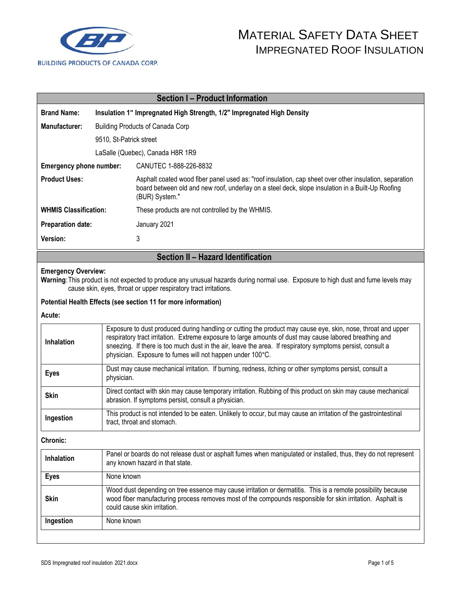

# MATERIAL SAFETY DATA SHEET IMPREGNATED ROOF INSULATION

| <b>Section I-Product Information</b> |                                                                        |                                                                                                                                                                                                                              |  |  |
|--------------------------------------|------------------------------------------------------------------------|------------------------------------------------------------------------------------------------------------------------------------------------------------------------------------------------------------------------------|--|--|
| <b>Brand Name:</b>                   | Insulation 1" Impregnated High Strength, 1/2" Impregnated High Density |                                                                                                                                                                                                                              |  |  |
| Manufacturer:                        | Building Products of Canada Corp                                       |                                                                                                                                                                                                                              |  |  |
|                                      | 9510, St-Patrick street                                                |                                                                                                                                                                                                                              |  |  |
| LaSalle (Quebec), Canada H8R 1R9     |                                                                        |                                                                                                                                                                                                                              |  |  |
| Emergency phone number:              |                                                                        | CANUTEC 1-888-226-8832                                                                                                                                                                                                       |  |  |
| <b>Product Uses:</b>                 |                                                                        | Asphalt coated wood fiber panel used as: "roof insulation, cap sheet over other insulation, separation<br>board between old and new roof, underlay on a steel deck, slope insulation in a Built-Up Roofing<br>(BUR) System." |  |  |
| <b>WHMIS Classification:</b>         |                                                                        | These products are not controlled by the WHMIS.                                                                                                                                                                              |  |  |
| <b>Preparation date:</b>             |                                                                        | January 2021                                                                                                                                                                                                                 |  |  |
| Version:                             |                                                                        | 3                                                                                                                                                                                                                            |  |  |

# **Section II – Hazard Identification**

### **Emergency Overview:**

**Warning**:This product is not expected to produce any unusual hazards during normal use. Exposure to high dust and fume levels may cause skin, eyes, throat or upper respiratory tract irritations.

## **Potential Health Effects (see section 11 for more information)**

### **Acute:**

| <b>Inhalation</b> | Exposure to dust produced during handling or cutting the product may cause eye, skin, nose, throat and upper<br>respiratory tract irritation. Extreme exposure to large amounts of dust may cause labored breathing and<br>sneezing. If there is too much dust in the air, leave the area. If respiratory symptoms persist, consult a<br>physician. Exposure to fumes will not happen under 100°C. |
|-------------------|----------------------------------------------------------------------------------------------------------------------------------------------------------------------------------------------------------------------------------------------------------------------------------------------------------------------------------------------------------------------------------------------------|
| <b>Eyes</b>       | Dust may cause mechanical irritation. If burning, redness, itching or other symptoms persist, consult a<br>physician.                                                                                                                                                                                                                                                                              |
| <b>Skin</b>       | Direct contact with skin may cause temporary irritation. Rubbing of this product on skin may cause mechanical<br>abrasion. If symptoms persist, consult a physician.                                                                                                                                                                                                                               |
| Ingestion         | This product is not intended to be eaten. Unlikely to occur, but may cause an irritation of the gastrointestinal<br>tract, throat and stomach.                                                                                                                                                                                                                                                     |

#### **Chronic:**

| <b>Inhalation</b> | Panel or boards do not release dust or asphalt fumes when manipulated or installed, thus, they do not represent<br>any known hazard in that state.                                                                                                         |  |
|-------------------|------------------------------------------------------------------------------------------------------------------------------------------------------------------------------------------------------------------------------------------------------------|--|
| <b>Eyes</b>       | None known                                                                                                                                                                                                                                                 |  |
| <b>Skin</b>       | Wood dust depending on tree essence may cause irritation or dermatitis. This is a remote possibility because<br>wood fiber manufacturing process removes most of the compounds responsible for skin irritation. Asphalt is<br>could cause skin irritation. |  |
| Ingestion         | None known                                                                                                                                                                                                                                                 |  |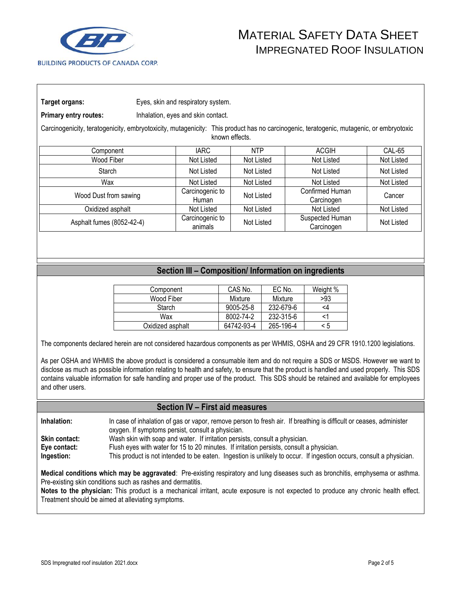

**Primary entry routes:** Inhalation, eyes and skin contact.

Carcinogenicity, teratogenicity, embryotoxicity, mutagenicity: This product has no carcinogenic, teratogenic, mutagenic, or embryotoxic known effects.

| Component                 | IARC.                      | <b>NTP</b> | <b>ACGIH</b>                  | CAL-65     |
|---------------------------|----------------------------|------------|-------------------------------|------------|
| Wood Fiber                | Not Listed                 | Not Listed | Not Listed                    | Not Listed |
| Starch                    | Not Listed                 | Not Listed | Not Listed                    | Not Listed |
| Wax                       | Not Listed                 | Not Listed | Not Listed                    | Not Listed |
| Wood Dust from sawing     | Carcinogenic to<br>Human   | Not Listed | Confirmed Human<br>Carcinogen | Cancer     |
| Oxidized asphalt          | Not Listed                 | Not Listed | Not Listed                    | Not Listed |
| Asphalt fumes (8052-42-4) | Carcinogenic to<br>animals | Not Listed | Suspected Human<br>Carcinogen | Not Listed |

# **Section III – Composition/ Information on ingredients**

| Component        | CAS No.    | EC No.    | Weight % |
|------------------|------------|-----------|----------|
| Wood Fiber       | Mixture    | Mixture   | >93      |
| Starch           | 9005-25-8  | 232-679-6 | <4       |
| Wax              | 8002-74-2  | 232-315-6 |          |
| Oxidized asphalt | 64742-93-4 | 265-196-4 | < 5      |

The components declared herein are not considered hazardous components as per WHMIS, OSHA and 29 CFR 1910.1200 legislations.

As per OSHA and WHMIS the above product is considered a consumable item and do not require a SDS or MSDS. However we want to disclose as much as possible information relating to health and safety, to ensure that the product is handled and used properly. This SDS contains valuable information for safe handling and proper use of the product. This SDS should be retained and available for employees and other users.

# **Section IV – First aid measures**

**Inhalation:** In case of inhalation of gas or vapor, remove person to fresh air. If breathing is difficult or ceases, administer oxygen. If symptoms persist, consult a physician. **Skin contact:** Wash skin with soap and water. If irritation persists, consult a physician. **Eye contact:** Flush eyes with water for 15 to 20 minutes. If irritation persists, consult a physician.

**Ingestion:** This product is not intended to be eaten. Ingestion is unlikely to occur. If ingestion occurs, consult a physician.

**Medical conditions which may be aggravated**: Pre-existing respiratory and lung diseases such as bronchitis, emphysema or asthma. Pre-existing skin conditions such as rashes and dermatitis.

**Notes to the physician:** This product is a mechanical irritant, acute exposure is not expected to produce any chronic health effect. Treatment should be aimed at alleviating symptoms.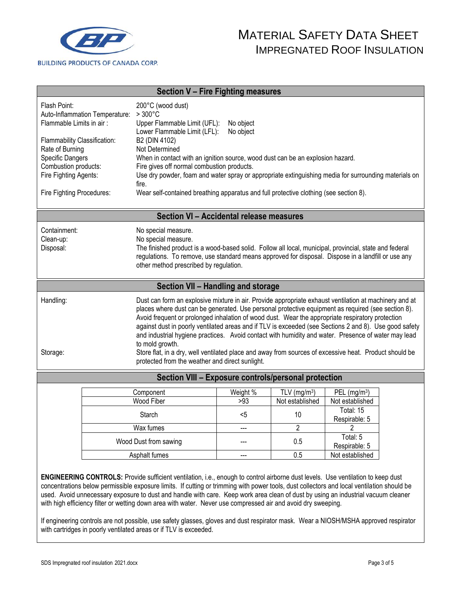

| Section V - Fire Fighting measures                                                                                                                                                                                                                                                                                                                                                                                                                                                                                                                                                                                                                                                                                                         |                                                                                                                                                                                                                                                                                                      |                                                                                                                                                                                                                                                                                                                                                                                                            |                          |                                          |                                               |  |
|--------------------------------------------------------------------------------------------------------------------------------------------------------------------------------------------------------------------------------------------------------------------------------------------------------------------------------------------------------------------------------------------------------------------------------------------------------------------------------------------------------------------------------------------------------------------------------------------------------------------------------------------------------------------------------------------------------------------------------------------|------------------------------------------------------------------------------------------------------------------------------------------------------------------------------------------------------------------------------------------------------------------------------------------------------|------------------------------------------------------------------------------------------------------------------------------------------------------------------------------------------------------------------------------------------------------------------------------------------------------------------------------------------------------------------------------------------------------------|--------------------------|------------------------------------------|-----------------------------------------------|--|
| Flash Point:<br>Auto-Inflammation Temperature:<br>Flammable Limits in air:<br>Flammability Classification:<br>Rate of Burning<br>Specific Dangers<br>Combustion products:<br>Fire Fighting Agents:                                                                                                                                                                                                                                                                                                                                                                                                                                                                                                                                         |                                                                                                                                                                                                                                                                                                      | 200°C (wood dust)<br>$>300^{\circ}$ C<br>Upper Flammable Limit (UFL):<br>No object<br>Lower Flammable Limit (LFL):<br>No object<br>B2 (DIN 4102)<br>Not Determined<br>When in contact with an ignition source, wood dust can be an explosion hazard.<br>Fire gives off normal combustion products.<br>Use dry powder, foam and water spray or appropriate extinguishing media for surrounding materials on |                          |                                          |                                               |  |
|                                                                                                                                                                                                                                                                                                                                                                                                                                                                                                                                                                                                                                                                                                                                            | fire.<br>Wear self-contained breathing apparatus and full protective clothing (see section 8).<br>Fire Fighting Procedures:                                                                                                                                                                          |                                                                                                                                                                                                                                                                                                                                                                                                            |                          |                                          |                                               |  |
|                                                                                                                                                                                                                                                                                                                                                                                                                                                                                                                                                                                                                                                                                                                                            |                                                                                                                                                                                                                                                                                                      | Section VI - Accidental release measures                                                                                                                                                                                                                                                                                                                                                                   |                          |                                          |                                               |  |
| Containment:<br>Clean-up:<br>Disposal:                                                                                                                                                                                                                                                                                                                                                                                                                                                                                                                                                                                                                                                                                                     | No special measure.<br>No special measure.<br>The finished product is a wood-based solid. Follow all local, municipal, provincial, state and federal<br>regulations. To remove, use standard means approved for disposal. Dispose in a landfill or use any<br>other method prescribed by regulation. |                                                                                                                                                                                                                                                                                                                                                                                                            |                          |                                          |                                               |  |
|                                                                                                                                                                                                                                                                                                                                                                                                                                                                                                                                                                                                                                                                                                                                            |                                                                                                                                                                                                                                                                                                      | Section VII - Handling and storage                                                                                                                                                                                                                                                                                                                                                                         |                          |                                          |                                               |  |
| Handling:<br>Dust can form an explosive mixture in air. Provide appropriate exhaust ventilation at machinery and at<br>places where dust can be generated. Use personal protective equipment as required (see section 8).<br>Avoid frequent or prolonged inhalation of wood dust. Wear the appropriate respiratory protection<br>against dust in poorly ventilated areas and if TLV is exceeded (see Sections 2 and 8). Use good safety<br>and industrial hygiene practices. Avoid contact with humidity and water. Presence of water may lead<br>to mold growth.<br>Store flat, in a dry, well ventilated place and away from sources of excessive heat. Product should be<br>Storage:<br>protected from the weather and direct sunlight. |                                                                                                                                                                                                                                                                                                      |                                                                                                                                                                                                                                                                                                                                                                                                            |                          |                                          |                                               |  |
|                                                                                                                                                                                                                                                                                                                                                                                                                                                                                                                                                                                                                                                                                                                                            |                                                                                                                                                                                                                                                                                                      | Section VIII - Exposure controls/personal protection                                                                                                                                                                                                                                                                                                                                                       |                          |                                          |                                               |  |
|                                                                                                                                                                                                                                                                                                                                                                                                                                                                                                                                                                                                                                                                                                                                            |                                                                                                                                                                                                                                                                                                      | Component<br>Wood Fiber<br>Starch                                                                                                                                                                                                                                                                                                                                                                          | Weight %<br>>93<br>$<$ 5 | TLV ( $mg/m3$ )<br>Not established<br>10 | PEL $(mg/m3)$<br>Not established<br>Total: 15 |  |
|                                                                                                                                                                                                                                                                                                                                                                                                                                                                                                                                                                                                                                                                                                                                            |                                                                                                                                                                                                                                                                                                      |                                                                                                                                                                                                                                                                                                                                                                                                            |                          | $\overline{2}$                           | Respirable: 5<br>$\overline{2}$               |  |
|                                                                                                                                                                                                                                                                                                                                                                                                                                                                                                                                                                                                                                                                                                                                            | Wax fumes<br>Wood Dust from sawing                                                                                                                                                                                                                                                                   |                                                                                                                                                                                                                                                                                                                                                                                                            | ---                      | 0.5                                      | Total: 5<br>Respirable: 5                     |  |
|                                                                                                                                                                                                                                                                                                                                                                                                                                                                                                                                                                                                                                                                                                                                            | Asphalt fumes                                                                                                                                                                                                                                                                                        |                                                                                                                                                                                                                                                                                                                                                                                                            |                          | 0.5                                      | Not established                               |  |
| ENGINEERING CONTROLS: Provide sufficient ventilation, i.e., enough to control airborne dust levels. Use ventilation to keep dust                                                                                                                                                                                                                                                                                                                                                                                                                                                                                                                                                                                                           |                                                                                                                                                                                                                                                                                                      |                                                                                                                                                                                                                                                                                                                                                                                                            |                          |                                          |                                               |  |

concentrations below permissible exposure limits. If cutting or trimming with power tools, dust collectors and local ventilation should be used. Avoid unnecessary exposure to dust and handle with care. Keep work area clean of dust by using an industrial vacuum cleaner with high efficiency filter or wetting down area with water. Never use compressed air and avoid dry sweeping.

If engineering controls are not possible, use safety glasses, gloves and dust respirator mask. Wear a NIOSH/MSHA approved respirator with cartridges in poorly ventilated areas or if TLV is exceeded.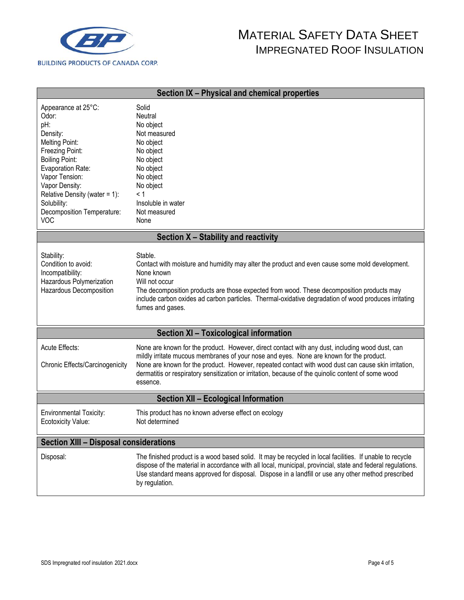

# MATERIAL SAFETY DATA SHEET IMPREGNATED ROOF INSULATION

| Section IX - Physical and chemical properties                                                                                                                                                                                                                      |                                                                                                                                                                                                                                                                                                                                                                                                                      |  |  |  |
|--------------------------------------------------------------------------------------------------------------------------------------------------------------------------------------------------------------------------------------------------------------------|----------------------------------------------------------------------------------------------------------------------------------------------------------------------------------------------------------------------------------------------------------------------------------------------------------------------------------------------------------------------------------------------------------------------|--|--|--|
| Appearance at 25°C:<br>Odor:<br>pH:<br>Density:<br>Melting Point:<br>Freezing Point:<br><b>Boiling Point:</b><br>Evaporation Rate:<br>Vapor Tension:<br>Vapor Density:<br>Relative Density (water = 1):<br>Solubility:<br>Decomposition Temperature:<br><b>VOC</b> | Solid<br>Neutral<br>No object<br>Not measured<br>No object<br>No object<br>No object<br>No object<br>No object<br>No object<br>< 1<br>Insoluble in water<br>Not measured<br>None                                                                                                                                                                                                                                     |  |  |  |
|                                                                                                                                                                                                                                                                    | Section X - Stability and reactivity                                                                                                                                                                                                                                                                                                                                                                                 |  |  |  |
| Stability:<br>Condition to avoid:<br>Incompatibility:<br>Hazardous Polymerization<br>Hazardous Decomposition                                                                                                                                                       | Stable.<br>Contact with moisture and humidity may alter the product and even cause some mold development.<br>None known<br>Will not occur<br>The decomposition products are those expected from wood. These decomposition products may<br>include carbon oxides ad carbon particles. Thermal-oxidative degradation of wood produces irritating<br>fumes and gases.                                                   |  |  |  |
|                                                                                                                                                                                                                                                                    | Section XI - Toxicological information                                                                                                                                                                                                                                                                                                                                                                               |  |  |  |
| <b>Acute Effects:</b><br>Chronic Effects/Carcinogenicity                                                                                                                                                                                                           | None are known for the product. However, direct contact with any dust, including wood dust, can<br>mildly irritate mucous membranes of your nose and eyes. None are known for the product.<br>None are known for the product. However, repeated contact with wood dust can cause skin irritation,<br>dermatitis or respiratory sensitization or irritation, because of the quinolic content of some wood<br>essence. |  |  |  |
| Section XII - Ecological Information                                                                                                                                                                                                                               |                                                                                                                                                                                                                                                                                                                                                                                                                      |  |  |  |
| <b>Environmental Toxicity:</b><br>Ecotoxicity Value:                                                                                                                                                                                                               | This product has no known adverse effect on ecology<br>Not determined                                                                                                                                                                                                                                                                                                                                                |  |  |  |
| <b>Section XIII - Disposal considerations</b>                                                                                                                                                                                                                      |                                                                                                                                                                                                                                                                                                                                                                                                                      |  |  |  |
| Disposal:                                                                                                                                                                                                                                                          | The finished product is a wood based solid. It may be recycled in local facilities. If unable to recycle<br>dispose of the material in accordance with all local, municipal, provincial, state and federal regulations.<br>Use standard means approved for disposal. Dispose in a landfill or use any other method prescribed<br>by regulation.                                                                      |  |  |  |